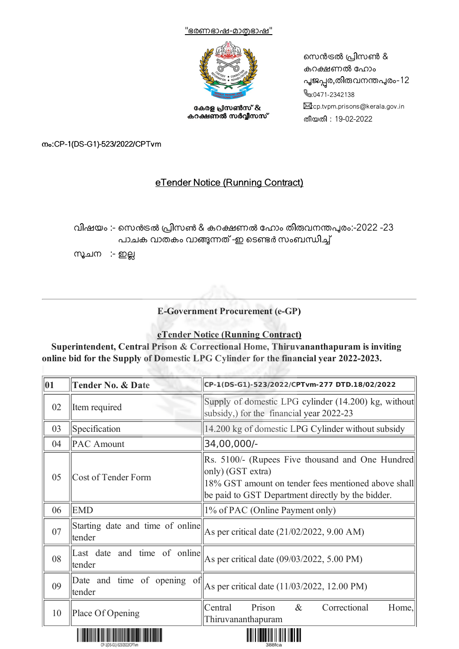



കേരള പ്രസൺസ് & കറക്ഷണൽ സർവ്വീസസ് നെൻട്രൽ പ്രിസൺ & കറക്ഷണൽ ഹോം പൂജപ്പര,തിരുവനന്തപുരം-12 **&**:0471-2342138 **E:cp.tvpm.prisons@kerala.gov.in** തീയതി : 19-02-2022

നം:CP-1(DS-G1)-523/2022/CPTvm

## eTender Notice (Running Contract)

വിഷയം :- സെൻട്രൽ പ്രിസൺ & കറക്ഷണൽ ഹോം തിരുവനന്തപുരം:-2022 -23 പാചക വാതകം വാങ്ങുന്നത് -ഇ ടെണ്ടർ സംബന്ധിച്ച്

സൂചന :- ഇല്ല



**E-Government Procurement (e-GP)**

### **eTender Notice (Running Contract)**

**Superintendent, Central Prison & Correctional Home, Thiruvananthapuram is inviting online bid for the Supply of Domestic LPG Cylinder for the financial year 2022-2023.**

| Supply of domestic LPG cylinder (14.200) kg, without<br>02<br>Item required<br>subsidy,) for the financial year 2022-23<br>03<br>14.200 kg of domestic LPG Cylinder without subsidy<br>Specification<br>34,00,000/-<br><b>PAC</b> Amount<br>04<br>Rs. 5100/- (Rupees Five thousand and One Hundred)<br>$ only)$ (GST extra)<br>05<br>Cost of Tender Form<br>18% GST amount on tender fees mentioned above shall<br>be paid to GST Department directly by the bidder.<br><b>EMD</b><br>1% of PAC (Online Payment only)<br>06<br>Starting date and time of online<br>07<br>As per critical date (21/02/2022, 9.00 AM)<br>tender<br>Last date and time of online<br>As per critical date (09/03/2022, 5.00 PM)<br>08<br>tender<br>Date and time of opening of<br>As per critical date (11/03/2022, 12.00 PM)<br>09 | CP-1(DS-G1)-523/2022/CPTvm-277 DTD.18/02/2022 |
|-----------------------------------------------------------------------------------------------------------------------------------------------------------------------------------------------------------------------------------------------------------------------------------------------------------------------------------------------------------------------------------------------------------------------------------------------------------------------------------------------------------------------------------------------------------------------------------------------------------------------------------------------------------------------------------------------------------------------------------------------------------------------------------------------------------------|-----------------------------------------------|
|                                                                                                                                                                                                                                                                                                                                                                                                                                                                                                                                                                                                                                                                                                                                                                                                                 |                                               |
|                                                                                                                                                                                                                                                                                                                                                                                                                                                                                                                                                                                                                                                                                                                                                                                                                 |                                               |
|                                                                                                                                                                                                                                                                                                                                                                                                                                                                                                                                                                                                                                                                                                                                                                                                                 |                                               |
|                                                                                                                                                                                                                                                                                                                                                                                                                                                                                                                                                                                                                                                                                                                                                                                                                 |                                               |
|                                                                                                                                                                                                                                                                                                                                                                                                                                                                                                                                                                                                                                                                                                                                                                                                                 |                                               |
|                                                                                                                                                                                                                                                                                                                                                                                                                                                                                                                                                                                                                                                                                                                                                                                                                 |                                               |
|                                                                                                                                                                                                                                                                                                                                                                                                                                                                                                                                                                                                                                                                                                                                                                                                                 |                                               |
| tender                                                                                                                                                                                                                                                                                                                                                                                                                                                                                                                                                                                                                                                                                                                                                                                                          |                                               |
| Prison<br>Correctional<br>$\&$<br>Central<br>Place Of Opening<br>10<br>Thiruvananthapuram                                                                                                                                                                                                                                                                                                                                                                                                                                                                                                                                                                                                                                                                                                                       | Home,                                         |



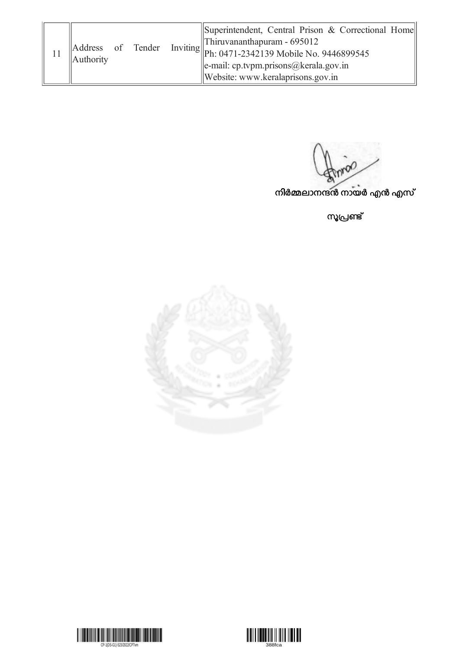|                                |  |  | Superintendent, Central Prison & Correctional Home                      |
|--------------------------------|--|--|-------------------------------------------------------------------------|
| Address of Tender<br>Authority |  |  | $\ $ Thiruvananthapuram - 695012                                        |
|                                |  |  | Inviting $\  \text{ph: } 0471 - 2342139 \text{ Mobile No. } 9446899545$ |
|                                |  |  | $\ $ e-mail: cp.tvpm.prisons@kerala.gov.in                              |
|                                |  |  | Website: www.keralaprisons.gov.in                                       |

നിർമ്മലാനന്ദൻ നായർ എൻ എസ്

സൂപ്രണ്ട്





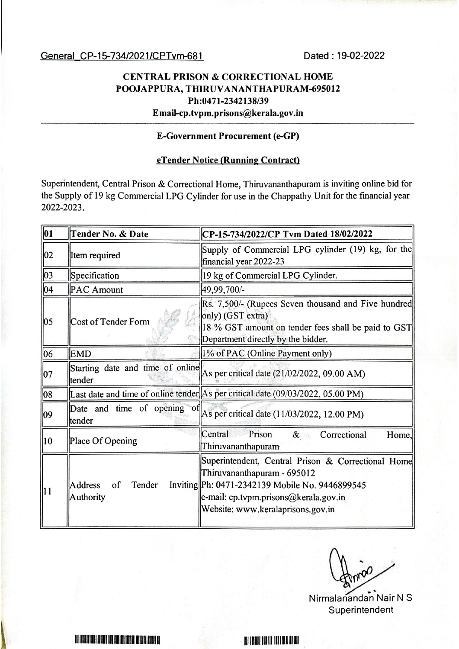General CP-15-734/2021/CPTvm-681

Dated: 19-02-2022

## **CENTRAL PRISON & CORRECTIONAL HOME** POOJAPPURA, THIRUVANANTHAPURAM-695012 Ph:0471-2342138/39 Email-cp.tvpm.prisons@kerala.gov.in

#### **E-Government Procurement (e-GP)**

### eTender Notice (Running Contract)

Superintendent, Central Prison & Correctional Home, Thiruvananthapuram is inviting online bid for the Supply of 19 kg Commercial LPG Cylinder for use in the Chappathy Unit for the financial year 2022-2023.

| $\overline{01}$ | Tender No. & Date                           | CP-15-734/2022/CP Tvm Dated 18/02/2022                                                                                                                                                                             |
|-----------------|---------------------------------------------|--------------------------------------------------------------------------------------------------------------------------------------------------------------------------------------------------------------------|
| 02              | Item required                               | Supply of Commercial LPG cylinder (19) kg, for the<br>financial year 2022-23                                                                                                                                       |
| 03              | Specification                               | 19 kg of Commercial LPG Cylinder.                                                                                                                                                                                  |
| 04              | <b>PAC Amount</b>                           | 49,99,700/-                                                                                                                                                                                                        |
| $ 05\rangle$    | <b>Cost of Tender Form</b>                  | Rs. 7,500/- (Rupees Seven thousand and Five hundred<br>only) (GST extra)<br>18 % GST amount on tender fees shall be paid to GST<br>Department directly by the bidder.                                              |
| 06              | <b>EMD</b>                                  | 1% of PAC (Online Payment only)                                                                                                                                                                                    |
| 07              | Starting date and time of online<br>tender  | As per critical date (21/02/2022, 09.00 AM)                                                                                                                                                                        |
| 08              |                                             | Last date and time of online tender $\vert$ As per critical date (09/03/2022, 05.00 PM)                                                                                                                            |
| $ 09\rangle$    | tender                                      | Date and time of opening of $\begin{bmatrix} A_s \end{bmatrix}$ per critical date (11/03/2022, 12.00 PM)                                                                                                           |
| $\vert$ 10      | Place Of Opening                            | Prison<br>Central<br>& Correctional<br>Home,<br>Thiruvananthapuram                                                                                                                                                 |
| $\vert$ 11      | <b>Address</b><br>Tender<br>of<br>Authority | Superintendent, Central Prison & Correctional Home<br>Thiruvananthapuram - 695012<br>Inviting Ph: 0471-2342139 Mobile No. 9446899545<br>e-mail: cp.tvpm.prisons@kerala.gov.in<br>Website: www.keralaprisons.gov.in |

Nirmalanandan Nair N S Superintendent

RI I I BERE DI LIBERI LIBERI DI RISI DI LIBERI LIBERI DI LIBERI LIBERA DI LIBERI DELLE LIBERI

<u>ni idhii idhib idhiidh dhei</u>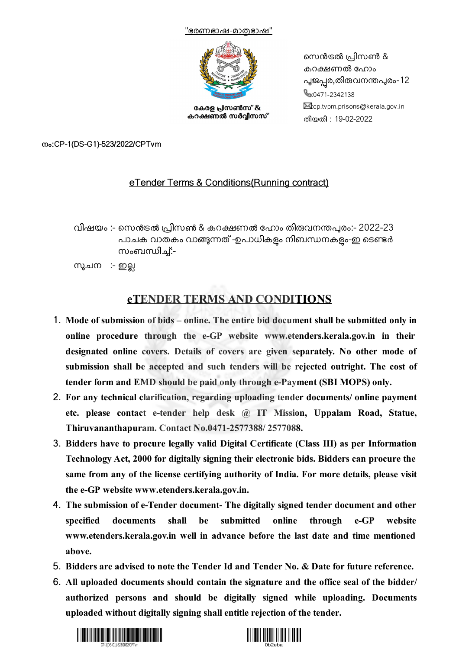



കേരള പ്രസൺസ് & കറക്ഷണൽ സർവ്വീസസ് നെൻട്രൽ പ്രിസൺ & കറക്ഷണൽ ഹോം പൂജപ്പര,തിരുവനന്തപുരം-12 **&**:0471-2342138 S:cp.tvpm.prisons@kerala.gov.in തീയതി : 19-02-2022

നം:CP-1(DS-G1)-523/2022/CPTvm

### eTender Terms & Conditions(Running contract)

വിഷയം :- സെൻട്രൽ പ്രിസൺ & കറക്ഷണൽ ഹോം തിരുവനന്തപുരം:- 2022-23 പാചക വാതകം വാങ്ങുന്നത് -ഉപാധികളം നിബന്ധനകളം-ഇ ടെണ്ടർ സംബന്ധിച്:-

സൂചന :- ഇല്ല

# **eTENDER TERMS AND CONDITIONS**

- 1. **Mode of submission of bids – online. The entire bid document shall be submitted only in online procedure through the e-GP website www.etenders.kerala.gov.in in their designated online covers. Details of covers are given separately. No other mode of submission shall be accepted and such tenders will be rejected outright. The cost of tender form and EMD should be paid only through e-Payment (SBI MOPS) only.**
- 2. **For any technical clarification, regarding uploading tender documents/ online payment etc. please contact e-tender help desk @ IT Mission, Uppalam Road, Statue, Thiruvananthapuram. Contact No.0471-2577388/ 2577088.**
- 3. **Bidders have to procure legally valid Digital Certificate (Class III) as per Information Technology Act, 2000 for digitally signing their electronic bids. Bidders can procure the same from any of the license certifying authority of India. For more details, please visit the e-GP website www.etenders.kerala.gov.in.**
- 4. **The submission of e-Tender document- The digitally signed tender document and other specified documents shall be submitted online through e-GP website www.etenders.kerala.gov.in well in advance before the last date and time mentioned above.**
- 5. **Bidders are advised to note the Tender Id and Tender No. & Date for future reference.**
- 6. **All uploaded documents should contain the signature and the office seal of the bidder/ authorized persons and should be digitally signed while uploading. Documents uploaded without digitally signing shall entitle rejection of the tender.**



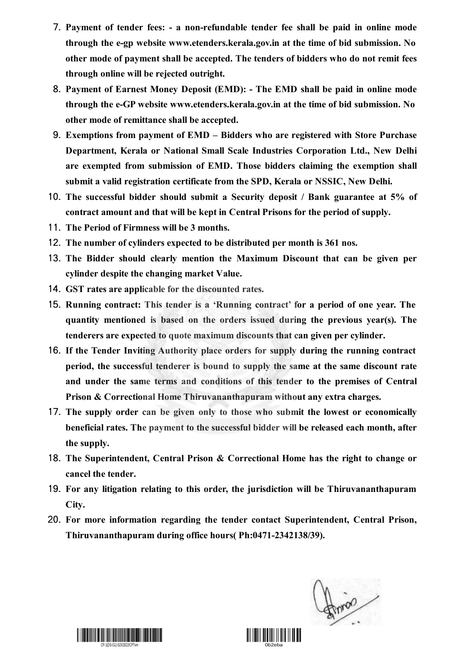- 7. **Payment of tender fees: - a non-refundable tender fee shall be paid in online mode through the e-gp website www.etenders.kerala.gov.in at the time of bid submission. No other mode of payment shall be accepted. The tenders of bidders who do not remit fees through online will be rejected outright.**
- 8. **Payment of Earnest Money Deposit (EMD): - The EMD shall be paid in online mode through the e-GP website www.etenders.kerala.gov.in at the time of bid submission. No other mode of remittance shall be accepted.**
- 9. **Exemptions from payment of EMD – Bidders who are registered with Store Purchase Department, Kerala or National Small Scale Industries Corporation Ltd., New Delhi are exempted from submission of EMD. Those bidders claiming the exemption shall submit a valid registration certificate from the SPD, Kerala or NSSIC, New Delhi.**
- 10. **The successful bidder should submit a Security deposit / Bank guarantee at 5% of contract amount and that will be kept in Central Prisons for the period of supply.**
- 11. **The Period of Firmness will be 3 months.**
- 12. **The number of cylinders expected to be distributed per month is 361 nos.**
- 13. **The Bidder should clearly mention the Maximum Discount that can be given per cylinder despite the changing market Value.**
- 14. **GST rates are applicable for the discounted rates.**
- 15. **Running contract: This tender is a 'Running contract' for a period of one year. The quantity mentioned is based on the orders issued during the previous year(s). The tenderers are expected to quote maximum discounts that can given per cylinder.**
- 16. **If the Tender Inviting Authority place orders for supply during the running contract period, the successful tenderer is bound to supply the same at the same discount rate and under the same terms and conditions of this tender to the premises of Central Prison & Correctional Home Thiruvananthapuram without any extra charges.**
- 17. **The supply order can be given only to those who submit the lowest or economically beneficial rates. The payment to the successful bidder will be released each month, after the supply.**
- 18. **The Superintendent, Central Prison & Correctional Home has the right to change or cancel the tender.**
- 19. **For any litigation relating to this order, the jurisdiction will be Thiruvananthapuram City.**
- 20. **For more information regarding the tender contact Superintendent, Central Prison, Thiruvananthapuram during office hours( Ph:0471-2342138/39).**

Annio